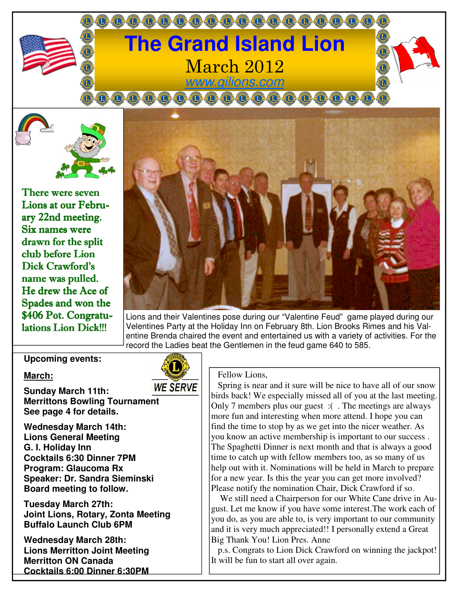

There were seven Lions at our February 22nd meeting. Six names were drawn for the split club before Lion Dick Crawford's name was pulled. He drew the Ace of Spades and won the \$406 Pot. Congratulations Lion Dick!!!



Lions and their Valentines pose during our "Valentine Feud" game played during our Velentines Party at the Holiday Inn on February 8th. Lion Brooks Rimes and his Valentine Brenda chaired the event and entertained us with a variety of activities. For the record the Ladies beat the Gentlemen in the feud game 640 to 585.

## **Upcoming events:**

#### **March:**

**Sunday March 11th: Merrittons Bowling Tournament See page 4 for details.** 

**Wednesday March 14th: Lions General Meeting G. I. Holiday Inn Cocktails 6:30 Dinner 7PM Program: Glaucoma Rx Speaker: Dr. Sandra Sieminski Board meeting to follow.** 

**Tuesday March 27th: Joint Lions, Rotary, Zonta Meeting Buffalo Launch Club 6PM** 

**Wednesday March 28th: Lions Merritton Joint Meeting Merritton ON Canada Cocktails 6:00 Dinner 6:30PM** 



#### Fellow Lions,

 Spring is near and it sure will be nice to have all of our snow birds back! We especially missed all of you at the last meeting. Only 7 members plus our guest :( . The meetings are always more fun and interesting when more attend. I hope you can find the time to stop by as we get into the nicer weather. As you know an active membership is important to our success . The Spaghetti Dinner is next month and that is always a good time to catch up with fellow members too, as so many of us help out with it. Nominations will be held in March to prepare for a new year. Is this the year you can get more involved? Please notify the nomination Chair, Dick Crawford if so.

 We still need a Chairperson for our White Cane drive in August. Let me know if you have some interest.The work each of you do, as you are able to, is very important to our community and it is very much appreciated!! I personally extend a Great Big Thank You! Lion Pres. Anne

 p.s. Congrats to Lion Dick Crawford on winning the jackpot! It will be fun to start all over again.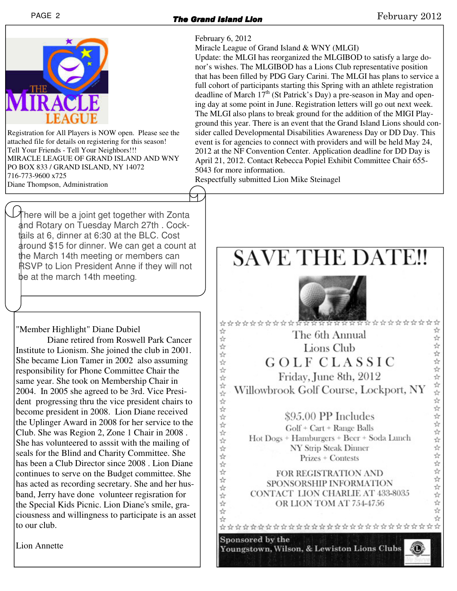# PAGE 2 **The Grand Island Lion** Grand Grand Company 2012